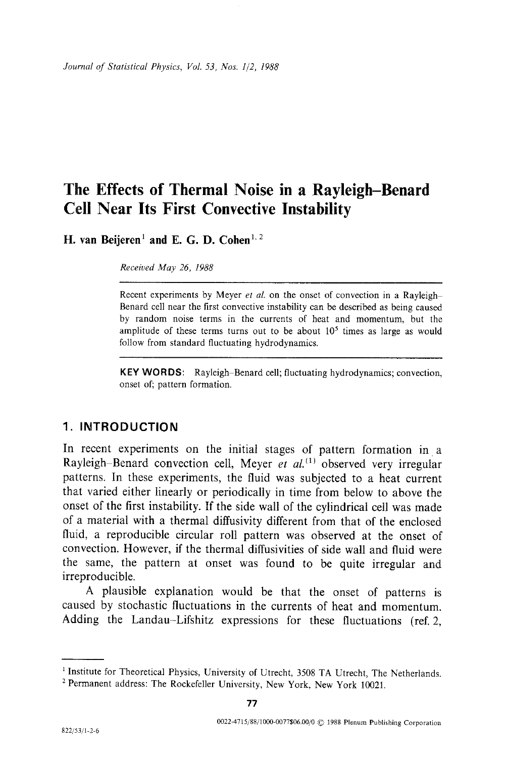*Journal of Statistical Physics, Vol. 53, Nos. 1/2, 1988* 

# **The Effects of Thermal Noise in a Rayleigh-Benard Cell Near Its First Convective Instability**

**H. van Beijeren<sup>1</sup> and E. G. D. Cohen<sup>1, 2</sup>** 

*Received May 26, 1988* 

Recent experiments by Meyer *et al.* on the onset of convection in a Rayleigh Benard cell near the first convective instability can be described as being caused by random noise terms in the currents of heat and momentum, but the amplitude of these terms turns out to be about  $10<sup>5</sup>$  times as large as would follow from standard fluctuating hydrodynamics.

KEY WORDS: Rayleigh-Benard cell; fluctuating hydrodynamics; convection, onset of; pattern formation.

# **1. INTRODUCTION**

In recent experiments on the initial stages of pattern formation in a Rayleigh-Benard convection cell, Meyer *et al.*<sup>(1)</sup> observed very irregular patterns. In these experiments, the fluid was subjected to a heat current that varied either linearly or periodically in time from below to above the onset of the first instability. If the side wall of the cylindrical cell was made of a material with a thermal diffusivity different from that of the enclosed fluid, a reproducible circular roll pattern was observed at the onset of convection. However, if the thermal diffusivities of side wall and fluid were the same, the pattern at onset was found to be quite irregular and irreproducible.

A plausible explanation would be that the onset of patterns is caused by stochastic fluctuations in the currents of heat and momentum. Adding the Landau-Lifshitz expressions for these fluctuations (ref. 2,

<sup>&</sup>lt;sup>1</sup> Institute for Theoretical Physics, University of Utrecht, 3508 TA Utrecht, The Netherlands.

<sup>&</sup>lt;sup>2</sup> Permanent address: The Rockefeller University, New York, New York 10021.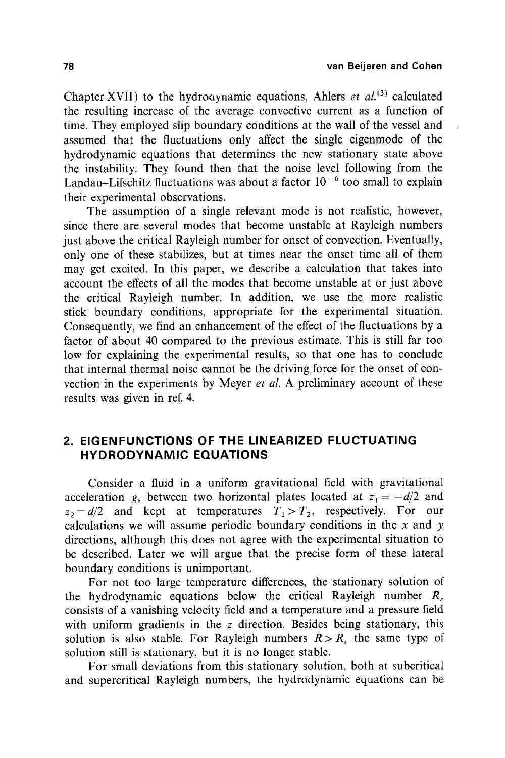Chapter XVII) to the hydrouynamic equations, Ahlers *et al.*<sup>(3)</sup> calculated the resulting increase of the average convective current as a function of time. They employed slip boundary conditions at the wall of the vessel and assumed that the fluctuations only affect the single eigenmode of the hydrodynamic equations that determines the new stationary state above the instability. They found then that the noise level following from the Landau–Lifschitz fluctuations was about a factor  $10^{-6}$  too small to explain their experimental observations.

The assumption of a single relevant mode is not realistic, however, since there are several modes that become unstable at Rayleigh numbers just above the critical Rayleigh number for onset of convection. Eventually, only one of these stabilizes, but at times near the onset time all of them may get excited. In this paper, we describe a calculation that takes into account the effects of all the modes that become unstable at or just above the critical Rayleigh number. In addition, we use the more realistic stick boundary conditions, appropriate for the experimental situation. Consequently, we find an enhancement of the effect of the fluctuations by a factor of about 40 compared to the previous estimate. This is still far too low for explaining the experimental results, so that one has to conclude that internal thermal noise cannot be the driving force for the onset of convection in the experiments by Meyer *et al.* A preliminary account of these results was given in ref. 4.

# **2. EIGENFUNCTIONS OF THE LINEARIZED FLUCTUATING HYDRODYNAMIC EQUATIONS**

Consider a fluid in a uniform gravitational field with gravitational acceleration g, between two horizontal plates located at  $z_1 = -d/2$  and  $z_2 = d/2$  and kept at temperatures  $T_1 > T_2$ , respectively. For our calculations we will assume periodic boundary conditions in the  $x$  and  $y$ directions, although this does not agree with the experimental situation to be described. Later we will argue that the precise form of these lateral boundary conditions is unimportant.

For not too large temperature differences, the stationary solution of the hydrodynamic equations below the critical Rayleigh number  $R_c$ consists of a vanishing velocity field and a temperature and a pressure field with uniform gradients in the z direction. Besides being stationary, this solution is also stable. For Rayleigh numbers  $R > R_c$  the same type of solution still is stationary, but it is no longer stable.

For small deviations from this stationary solution, both at subcritical and supercritical Rayleigh numbers, the hydrodynamic equations can be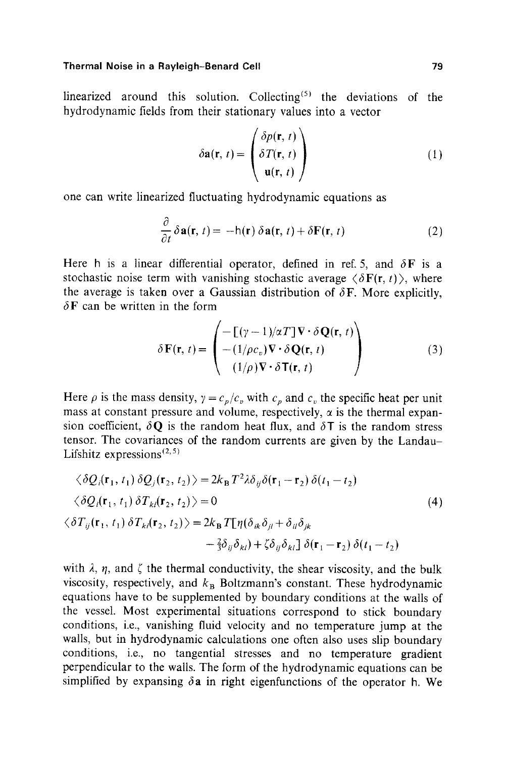linearized around this solution. Collecting<sup> $(5)$ </sup> the deviations of the hydrodynamic fields from their stationary values into a vector

$$
\delta \mathbf{a}(\mathbf{r}, t) = \begin{pmatrix} \delta p(\mathbf{r}, t) \\ \delta T(\mathbf{r}, t) \\ \mathbf{u}(\mathbf{r}, t) \end{pmatrix}
$$
 (1)

one can write linearized fluctuating hydrodynamic equations as

$$
\frac{\partial}{\partial t} \delta \mathbf{a}(\mathbf{r}, t) = -h(\mathbf{r}) \delta \mathbf{a}(\mathbf{r}, t) + \delta \mathbf{F}(\mathbf{r}, t)
$$
 (2)

Here h is a linear differential operator, defined in ref. 5, and  $\delta F$  is a stochastic noise term with vanishing stochastic average  $\langle \delta F(r, t) \rangle$ , where the average is taken over a Gaussian distribution of  $\delta F$ . More explicitly,  $\delta$ **F** can be written in the form

$$
\delta \mathbf{F}(\mathbf{r}, t) = \begin{pmatrix} -\left[ (\gamma - 1)/\alpha T \right] \mathbf{V} \cdot \delta \mathbf{Q}(\mathbf{r}, t) \\ -\left( 1/\rho c_v \right) \mathbf{V} \cdot \delta \mathbf{Q}(\mathbf{r}, t) \\ \left( 1/\rho \right) \mathbf{V} \cdot \delta \mathbf{T}(\mathbf{r}, t) \end{pmatrix}
$$
(3)

Here  $\rho$  is the mass density,  $\gamma = c_p/c_v$  with  $c_p$  and  $c_v$  the specific heat per unit mass at constant pressure and volume, respectively,  $\alpha$  is the thermal expansion coefficient,  $\delta \mathbf{Q}$  is the random heat flux, and  $\delta \mathbf{T}$  is the random stress tensor. The covariances of the random currents are given by the Landau-Lifshitz expressions $(2,5)$ 

$$
\langle \delta Q_i(\mathbf{r}_1, t_1) \delta Q_j(\mathbf{r}_2, t_2) \rangle = 2k_\mathbf{B} T^2 \lambda \delta_{ij} \delta(\mathbf{r}_1 - \mathbf{r}_2) \delta(t_1 - t_2)
$$
  

$$
\langle \delta Q_i(\mathbf{r}_1, t_1) \delta T_{kl}(\mathbf{r}_2, t_2) \rangle = 0
$$
  

$$
\langle \delta T_{ij}(\mathbf{r}_1, t_1) \delta T_{kl}(\mathbf{r}_2, t_2) \rangle = 2k_\mathbf{B} T[\eta(\delta_{ik}\delta_{jl} + \delta_{il}\delta_{jk} - \frac{2}{3}\delta_{ij}\delta_{kl}) + \zeta \delta_{ij}\delta_{kl}] \delta(\mathbf{r}_1 - \mathbf{r}_2) \delta(t_1 - t_2)
$$
 (4)

with  $\lambda$ ,  $\eta$ , and  $\zeta$  the thermal conductivity, the shear viscosity, and the bulk viscosity, respectively, and  $k_B$  Boltzmann's constant. These hydrodynamic equations have to be supplemented by boundary conditions at the walls of the vessel. Most experimental situations correspond to stick boundary conditions, i.e., vanishing fluid velocity and no temperature jump at the walls, but in hydrodynamic calculations one often also uses slip boundary conditions, i.e., no tangential stresses and no temperature gradient perpendicular to the walls. The form of the hydrodynamic equations can be simplified by expansing  $\delta a$  in right eigenfunctions of the operator h. We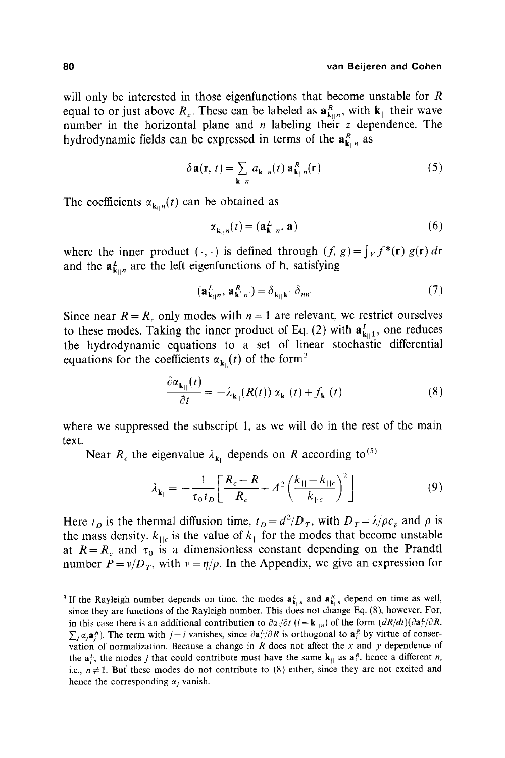will only be interested in those eigenfunctions that become unstable for R equal to or just above  $R_c$ . These can be labeled as  $\mathbf{a}_{k+n}^R$ , with  $\mathbf{k}_{\perp}$  their wave number in the horizontal plane and  $n$  labeling their  $z$  dependence. The hydrodynamic fields can be expressed in terms of the  $a_{k|n}^R$  as

$$
\delta \mathbf{a}(\mathbf{r}, t) = \sum_{\mathbf{k}_{||}n} a_{\mathbf{k}_{||}n}(t) \mathbf{a}_{\mathbf{k}_{||}n}^{R}(\mathbf{r})
$$
 (5)

The coefficients  $\alpha_{k,n}(t)$  can be obtained as

$$
\alpha_{\mathbf{k}_{\parallel n}}(t) = (\mathbf{a}_{\mathbf{k}_{\parallel n}}^L, \mathbf{a}) \tag{6}
$$

where the inner product  $(\cdot, \cdot)$  is defined through  $(f, g) = \int_V f^*(\mathbf{r}) g(\mathbf{r}) d\mathbf{r}$ and the  $a_{k}^L$  are the left eigenfunctions of h, satisfying

$$
(\mathbf{a}_{\mathbf{k}_{||}n}^{L}, \mathbf{a}_{\mathbf{k}_{||}n'}^{R}) = \delta_{\mathbf{k}_{||}\mathbf{k}_{||}'} \delta_{nn'} \tag{7}
$$

Since near  $R = R_c$  only modes with  $n = 1$  are relevant, we restrict ourselves to these modes. Taking the inner product of Eq. (2) with  $\mathbf{a}_{k+1}^L$ , one reduces the hydrodynamic equations to a set of linear stochastic differential equations for the coefficients  $\alpha_{\mathbf{k}\parallel}(t)$  of the form<sup>3</sup>

$$
\frac{\partial \alpha_{\mathbf{k}_{||}}(t)}{\partial t} = -\lambda_{\mathbf{k}_{||}}(R(t)) \alpha_{\mathbf{k}_{||}}(t) + f_{\mathbf{k}_{||}}(t)
$$
(8)

where we suppressed the subscript 1, as we will do in the rest of the main text.

Near  $R_c$  the eigenvalue  $\lambda_{k_0}$  depends on R according to<sup>(5)</sup>

$$
\lambda_{\mathbf{k}_{||}} = -\frac{1}{\tau_0 t_D} \left[ \frac{R_c - R}{R_c} + A^2 \left( \frac{k_{||} - k_{||c}}{k_{||c}} \right)^2 \right] \tag{9}
$$

Here  $t_D$  is the thermal diffusion time,  $t_D = d^2/D_T$ , with  $D_T = \lambda/\rho c_p$  and  $\rho$  is the mass density,  $k_{\text{IIc}}$  is the value of  $k_{\text{II}}$  for the modes that become unstable at  $R = R_c$  and  $\tau_0$  is a dimensionless constant depending on the Prandtl number  $P = v/D_T$ , with  $v = \eta/\rho$ . In the Appendix, we give an expression for

<sup>&</sup>lt;sup>3</sup> If the Rayleigh number depends on time, the modes  $\mathbf{a}_{\mathbf{k}_{||n}}^K$  and  $\mathbf{a}_{\mathbf{k}_{||n}}^R$  depend on time as well, since they are functions of the Rayleigh number. This does not change Eq. (8), however. For, in this case there is an additional contribution to  $\partial \alpha_i/\partial t$  (i = k<sub>||n</sub>) of the form  $(dR/dt)(\partial \mathbf{a}_i^L/\partial R,$  $\sum_i \alpha_i \mathbf{a}_i^R$ ). The term with  $j=i$  vanishes, since  $\partial \mathbf{a}_i^L / \partial R$  is orthogonal to  $\mathbf{a}_i^R$  by virtue of conservation of normalization. Because a change in  $R$  does not affect the  $x$  and  $y$  dependence of the  $a_{i}^{L}$ , the modes j that could contribute must have the same  $\mathbf{k}_{\parallel}$  as  $a_{i}^{R}$ , hence a different n, i.e.,  $n \neq 1$ . But these modes do not contribute to (8) either, since they are not excited and hence the corresponding  $\alpha$ , vanish.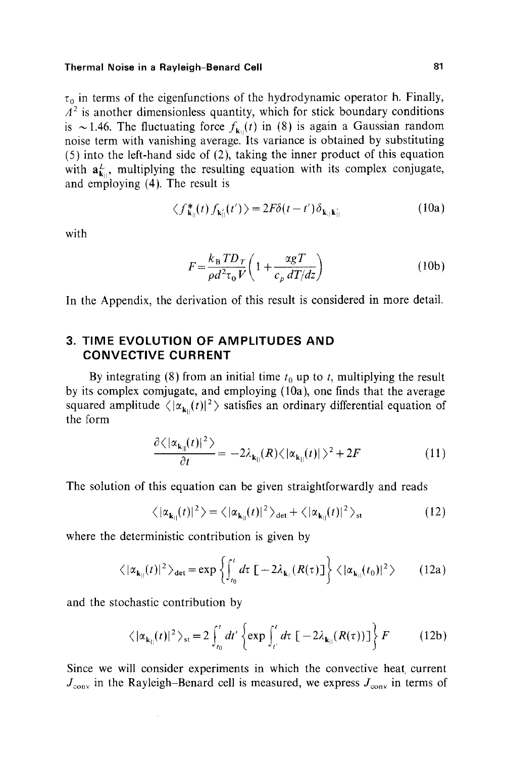$\tau_0$  in terms of the eigenfunctions of the hydrodynamic operator h. Finally,  $A<sup>2</sup>$  is another dimensionless quantity, which for stick boundary conditions is ~1.46. The fluctuating force  $f_{k_0}(t)$  in (8) is again a Gaussian random noise term with vanishing average. Its variance is obtained by substituting (5) into the left-hand side of (2), taking the inner product of this equation with  $a_{k_0}^L$ , multiplying the resulting equation with its complex conjugate, and employing (4). The result is

$$
\langle f_{\mathbf{k}_{||}}^*(t) f_{\mathbf{k}_{||}}^*(t') \rangle = 2F\delta(t - t') \delta_{\mathbf{k}_{||}\mathbf{k}_{||}} \tag{10a}
$$

with

$$
F = \frac{k_{\rm B} T D_T}{\rho d^2 \tau_0 V} \left( 1 + \frac{\alpha g T}{c_p dT/dz} \right)
$$
 (10b)

In the Appendix, the derivation of this result is considered in more detail.

# **3. TIME EVOLUTION OF AMPLITUDES AND CONVECTIVE CURRENT**

By integrating (8) from an initial time  $t_0$  up to t, multiplying the result by its complex comjugate, and employing (10a), one finds that the average squared amplitude  $\langle |\alpha_{\mathbf{k}_{||}}(t)|^2 \rangle$  satisfies an ordinary differential equation of the form

$$
\frac{\partial \langle |\alpha_{\mathbf{k}_{||}}(t)|^2 \rangle}{\partial t} = -2\lambda_{\mathbf{k}_{||}}(R) \langle |\alpha_{\mathbf{k}_{||}}(t)| \rangle^2 + 2F \tag{11}
$$

The solution of this equation can be given straightforwardly and reads

$$
\langle |\alpha_{\mathbf{k}_{||}}(t)|^2 \rangle = \langle |\alpha_{\mathbf{k}_{||}}(t)|^2 \rangle_{\text{det}} + \langle |\alpha_{\mathbf{k}_{||}}(t)|^2 \rangle_{\text{st}}
$$
(12)

where the deterministic contribution is given by

$$
\langle |\alpha_{\mathbf{k}_{||}}(t)|^2 \rangle_{\text{det}} = \exp \left\{ \int_{t_0}^t d\tau \left[ -2\lambda_{\mathbf{k}_{||}}(R(\tau)) \right] \right\} \langle |\alpha_{\mathbf{k}_{||}}(t_0)|^2 \rangle \qquad (12a)
$$

and the stochastic contribution by

$$
\langle |\alpha_{\mathbf{k}_{||}}(t)|^2 \rangle_{\text{st}} = 2 \int_{t_0}^t dt' \left\{ \exp \int_{t'}^t dt \left[ -2\lambda_{\mathbf{k}_{||}}(R(\tau)) \right] \right\} F \tag{12b}
$$

Since we will consider experiments in which the convective heat current  $J_{\text{conv}}$  in the Rayleigh-Benard cell is measured, we express  $J_{\text{conv}}$  in terms of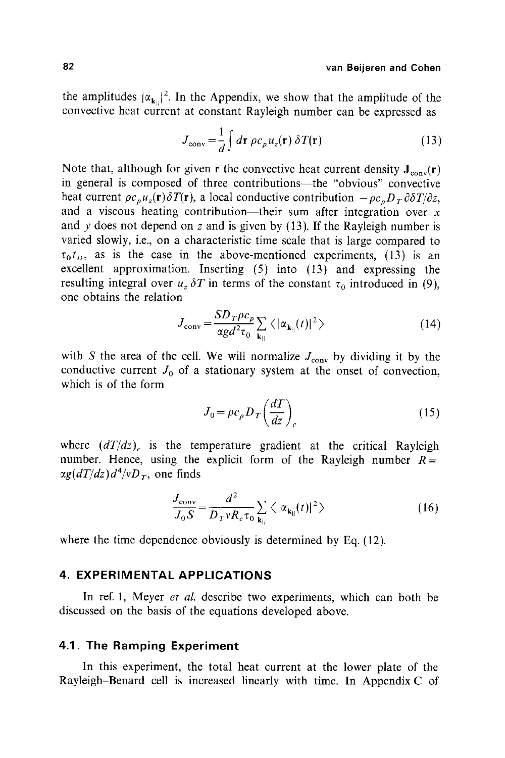the amplitudes  $|\alpha_{k}||^2$ . In the Appendix, we show that the amplitude of the convective heat current at constant Rayleigh number can be expressed as

$$
J_{\text{conv}} = \frac{1}{d} \int d\mathbf{r} \, \rho c_p u_z(\mathbf{r}) \, \delta T(\mathbf{r}) \tag{13}
$$

Note that, although for given r the convective heat current density  $J_{\text{conv}}(r)$ in general is composed of three contributions---the "obvious" convective heat current  $\rho c_p u_z(\mathbf{r}) \delta T(\mathbf{r})$ , a local conductive contribution  $-\rho c_p D_T \partial \delta T/\partial z$ , and a viscous heating contribution----their sum after integration over  $x$ and  $y$  does not depend on z and is given by (13). If the Rayleigh number is varied slowly, i.e., on a characteristic time scale that is large compared to  $\tau_0 t_D$ , as is the case in the above-mentioned experiments, (13) is an excellent approximation. Inserting (5) into (13) and expressing the resulting integral over  $u_z \, \delta T$  in terms of the constant  $\tau_0$  introduced in (9), one obtains the relation

$$
J_{\text{conv}} = \frac{SD_T \rho c_p}{\alpha g d^2 \tau_0} \sum_{\mathbf{k}_{||}} \langle |\alpha_{\mathbf{k}_{||}}(t)|^2 \rangle \tag{14}
$$

with S the area of the cell. We will normalize  $J_{\text{conv}}$  by dividing it by the conductive current  $J_0$  of a stationary system at the onset of convection, which is of the form

$$
J_0 = \rho c_p D_T \left(\frac{dT}{dz}\right)_c \tag{15}
$$

where  $(dT/dz)$ <sub>c</sub> is the temperature gradient at the critical Rayleigh number. Hence, using the explicit form of the Rayleigh number  $R =$  $\alpha g(dT/dz)d^4/vD_T$ , one finds

$$
\frac{J_{\text{conv}}}{J_0 S} = \frac{d^2}{D_T v R_c \tau_0} \sum_{\mathbf{k}_{||}} \langle |\alpha_{\mathbf{k}_{||}}(t)|^2 \rangle
$$
 (16)

where the time dependence obviously is determined by Eq. (12).

## **4. EXPERIMENTAL APPLICATIONS**

In ref. 1, Meyer *et al.* describe two experiments, which can both be discussed on the basis of the equations developed above.

### **4.1. The Ramping Experiment**

**In this experiment, the total heat current at the lower plate of the Rayleigh-Benard cell is increased linearly with time. In Appendix C of**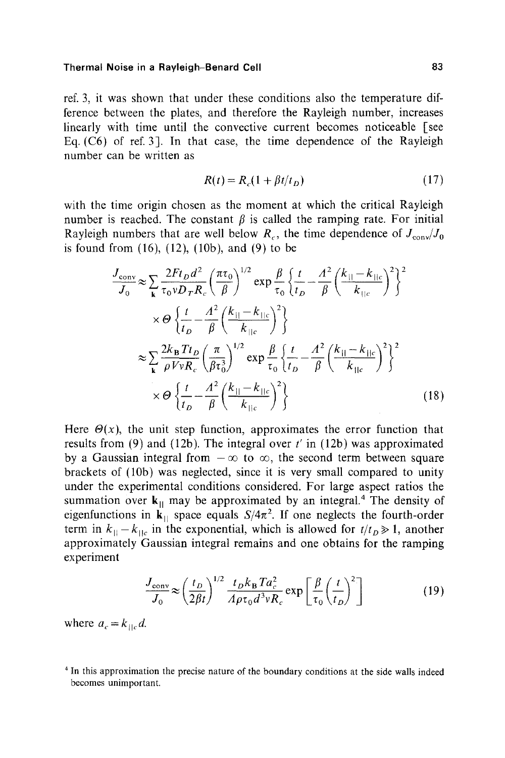ref. 3, it was shown that under these conditions also the temperature difference between the plates, and therefore the Rayleigh number, increases linearly with time until the convective current becomes noticeable [see Eq. (C6) of ref. 3]. In that case, the time dependence of the Rayleigh number can be written as

$$
R(t) = R_c(1 + \beta t/t_D) \tag{17}
$$

with the time origin chosen as the moment at which the critical Rayleigh number is reached. The constant  $\beta$  is called the ramping rate. For initial Rayleigh numbers that are well below  $R_c$ , the time dependence of  $J_{\text{conv}}/J_0$ is found from  $(16)$ ,  $(12)$ ,  $(10b)$ , and  $(9)$  to be

$$
\frac{J_{\text{conv}}}{J_0} \approx \sum_{\mathbf{k}} \frac{2Ft_D d^2}{\tau_0 v D_T R_c} \left(\frac{\pi \tau_0}{\beta}\right)^{1/2} \exp \frac{\beta}{\tau_0} \left\{\frac{t}{t_D} - \frac{A^2}{\beta} \left(\frac{k_{||} - k_{||c}}{k_{||c}}\right)^2\right\}^2
$$

$$
\times \Theta \left\{\frac{t}{t_D} - \frac{A^2}{\beta} \left(\frac{k_{||} - k_{||c}}{k_{||c}}\right)^2\right\}
$$

$$
\approx \sum_{\mathbf{k}} \frac{2k_B T t_D}{\rho V v R_c} \left(\frac{\pi}{\beta \tau_0^3}\right)^{1/2} \exp \frac{\beta}{\tau_0} \left\{\frac{t}{t_D} - \frac{A^2}{\beta} \left(\frac{k_{||} - k_{||c}}{k_{||c}}\right)^2\right\}^2
$$

$$
\times \Theta \left\{\frac{t}{t_D} - \frac{A^2}{\beta} \left(\frac{k_{||} - k_{||c}}{k_{||c}}\right)^2\right\}^2 \tag{18}
$$

Here  $\Theta(x)$ , the unit step function, approximates the error function that results from (9) and (12b). The integral over *t'* in (12b) was approximated by a Gaussian integral from  $-\infty$  to  $\infty$ , the second term between square brackets of (10b) was neglected, since it is very small compared to unity under the experimental conditions considered. For large aspect ratios the summation over  $k_{\parallel}$  may be approximated by an integral.<sup>4</sup> The density of eigenfunctions in  $\mathbf{k}_{\parallel}$  space equals  $S/4\pi^2$ . If one neglects the fourth-order term in  $k_{\parallel}-k_{\parallel c}$  in the exponential, which is allowed for  $t/t_D \gg 1$ , another approximately Gaussian integral remains and one obtains for the ramping experiment

$$
\frac{J_{\text{conv}}}{J_0} \approx \left(\frac{t_D}{2\beta t}\right)^{1/2} \frac{t_D k_B T a_c^2}{A \rho \tau_0 d^3 v R_c} \exp\left[\frac{\beta}{\tau_0} \left(\frac{t}{t_D}\right)^2\right]
$$
(19)

where  $a_c = k_{\text{He}}d$ .

<sup>4</sup> In this approximation the precise nature of the boundary conditions at the side walls indeed becomes unimportant.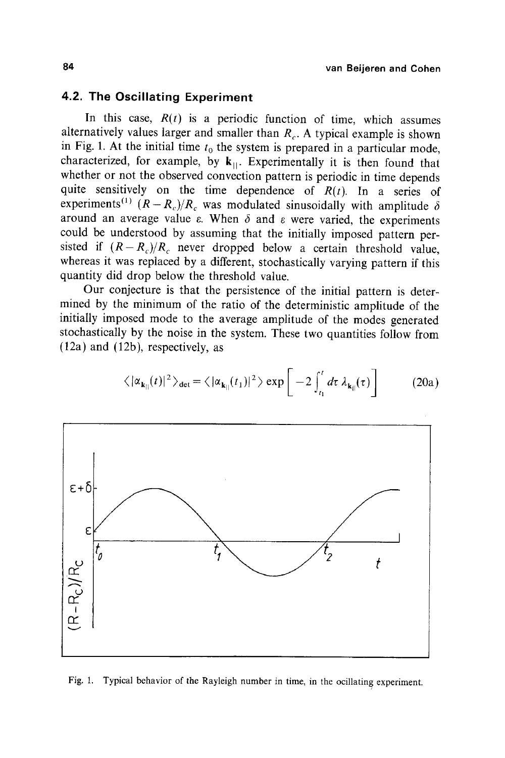# **4.2. The Oscillating Experiment**

In this case,  $R(t)$  is a periodic function of time, which assumes alternatively values larger and smaller than  $R_c$ . A typical example is shown in Fig. 1. At the initial time  $t_0$  the system is prepared in a particular mode, characterized, for example, by  $k_{\parallel}$ . Experimentally it is then found that whether or not the observed convection pattern is periodic in time depends quite sensitively on the time dependence of  $R(t)$ . In a series of experiments<sup>(1)</sup>  $(R - R_c)/R_c$  was modulated sinusoidally with amplitude  $\delta$ around an average value  $\varepsilon$ . When  $\delta$  and  $\varepsilon$  were varied, the experiments could be understood by assuming that the initially imposed pattern persisted if  $(R-R_c)/R_c$  never dropped below a certain threshold value, whereas it was replaced by a different, stochastically varying pattern if this quantity did drop below the threshold value.

Our conjecture is that the persistence of the initial pattern is determined by the minimum of the ratio of the deterministic amplitude of the initially imposed mode to the average amplitude of the modes generated stochastically by the noise in the system. These two quantities follow from (12a) and (12b), respectively, as



$$
\langle |\alpha_{\mathbf{k}_{||}}(t)|^2 \rangle_{\text{det}} = \langle |\alpha_{\mathbf{k}_{||}}(t_1)|^2 \rangle \exp\left[-2 \int_{t_1}^t dt \lambda_{\mathbf{k}_{||}}(\tau)\right] \tag{20a}
$$

Fig. 1. Typical behavior of the Rayleigh number in time, in the ocillating experiment.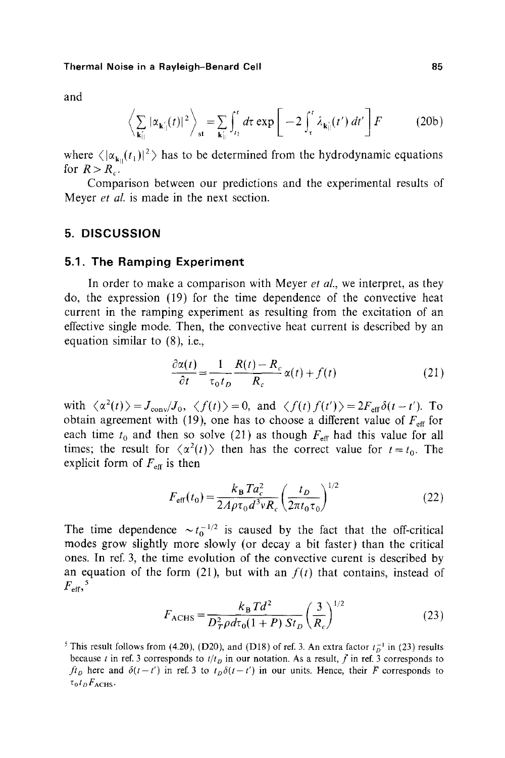and

$$
\left\langle \sum_{\mathbf{k}_{\parallel}^{\prime}} |\alpha_{\mathbf{k}_{\parallel}^{\prime}}(t)|^2 \right\rangle_{st} = \sum_{\mathbf{k}_{\parallel}^{\prime}} \int_{t_1}^{t} d\tau \exp\left[-2 \int_{\tau}^{t} \lambda_{\mathbf{k}_{\parallel}^{\prime}}(t') dt'\right] F \tag{20b}
$$

where  $\langle |\alpha_{k}(\tau_1)|^2 \rangle$  has to be determined from the hydrodynamic equations for  $R > R_{\alpha}$ .

Comparison between our predictions and the experimental results of Meyer *et al.* is made in the next section.

## **5. DISCUSSION**

#### **5.1. The Ramping Experiment**

In order to make a comparison with Meyer *et al.,* we interpret, as they do, the expression (19) for the time dependence of the convective heat current in the ramping experiment as resulting from the excitation of an effective single mode. Then, the convective heat current is described by an equation similar to (8), i.e.,

$$
\frac{\partial \alpha(t)}{\partial t} = \frac{1}{\tau_0 t_D} \frac{R(t) - R_c}{R_c} \alpha(t) + f(t)
$$
\n(21)

with  $\langle \alpha^2(t) \rangle = J_{\text{conv}}/J_0$ ,  $\langle f(t) \rangle = 0$ , and  $\langle f(t) f(t') \rangle = 2F_{\text{eff}} \delta(t-t')$ . To obtain agreement with (19), one has to choose a different value of  $F_{\text{eff}}$  for each time  $t_0$  and then so solve (21) as though  $F_{\text{eff}}$  had this value for all times; the result for  $\langle \alpha^2(t) \rangle$  then has the correct value for  $t = t_0$ . The explicit form of  $F_{\text{eff}}$  is then

$$
F_{\rm eff}(t_0) = \frac{k_B T a_c^2}{2A\rho \tau_0 d^3 v R_c} \left(\frac{t_D}{2\pi t_0 \tau_0}\right)^{1/2}
$$
 (22)

The time dependence  $\sim t_0^{-1/2}$  is caused by the fact that the off-critical modes grow slightly more slowly (or decay a bit faster) than the critical ones. In ref. 3, the time evolution of the convective curent is described by an equation of the form  $(21)$ , but with an  $f(t)$  that contains, instead of  $F_{\text{eff}}$ ,  $^5$ 

$$
F_{\text{ACHS}} = \frac{k_{\text{B}} T d^2}{D_T^2 \rho d\tau_0 (1+P) S t_D} \left(\frac{3}{R_c}\right)^{1/2} \tag{23}
$$

<sup>&</sup>lt;sup>5</sup> This result follows from (4.20), (D20), and (D18) of ref. 3. An extra factor  $t_D^{-1}$  in (23) results because t in ref. 3 corresponds to  $t/t_D$  in our notation. As a result, f in ref. 3 corresponds to  $ft<sub>D</sub>$  here and  $\delta(t-t')$  in ref. 3 to  $t<sub>D</sub>\delta(t-t')$  in our units. Hence, their F corresponds to  $\tau_0 t_D F_{\text{ACHS}}$ .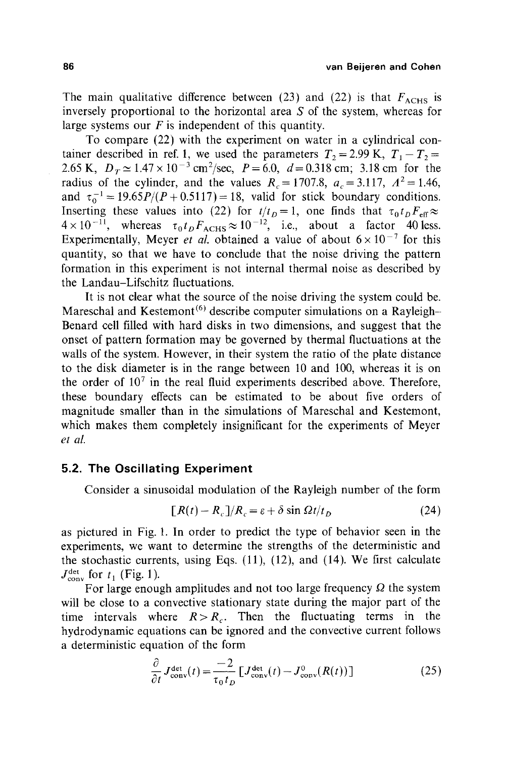The main qualitative difference between (23) and (22) is that  $F_{ACHS}$  is inversely proportional to the horizontal area S of the system, whereas for large systems our  $F$  is independent of this quantity.

To compare (22) with the experiment on water in a cylindrical container described in ref. 1, we used the parameters  $T_2 = 2.99$  K,  $T_1 - T_2 =$ 2.65 K,  $D_T \simeq 1.47 \times 10^{-3}$  cm<sup>2</sup>/sec,  $P = 6.0$ ,  $d = 0.318$  cm; 3.18 cm for the radius of the cylinder, and the values  $R_c = 1707.8$ ,  $a_c = 3.117$ ,  $A^2 = 1.46$ , and  $\tau_0^{-1} = 19.65P/(P+0.5117) = 18$ , valid for stick boundary conditions. Inserting these values into (22) for  $t/t_0 = 1$ , one finds that  $\tau_0 t_0 F_{\text{eff}} \approx$  $4 \times 10^{-11}$ , whereas  $\tau_0 t_D F_{\text{ACHS}} \approx 10^{-12}$ , i.e., about a factor 40 less. Experimentally, Meyer *et al.* obtained a value of about  $6 \times 10^{-7}$  for this quantity, so that we have to conclude that the noise driving the pattern formation in this experiment is not internal thermal noise as described by the Landau-Lifschitz fluctuations.

It is not clear what the source of the noise driving the system could be. Mareschal and Kestemont<sup> $(6)$ </sup> describe computer simulations on a Rayleigh-Benard cell filled with hard disks in two dimensions, and suggest that the onset of pattern formation may be governed by thermal fluctuations at the walls of the system. However, in their system the ratio of the plate distance to the disk diameter is in the range between 10 and 100, whereas it is on the order of  $10<sup>7</sup>$  in the real fluid experiments described above. Therefore, these boundary effects can be estimated to be about five orders of magnitude smaller than in the simulations of Mareschal and Kestemont, which makes them completely insignificant for the experiments of Meyer *et al.* 

## **5.2. The Oscillating Experiment**

Consider a sinusoidal modulation of the Rayleigh number of the form

$$
[R(t) - R_c]/R_c = \varepsilon + \delta \sin \Omega t / t_D \tag{24}
$$

as pictured in Fig. 1. In order to predict the type of behavior seen in the experiments, we want to determine the strengths of the deterministic and the stochastic currents, using Eqs.  $(11)$ ,  $(12)$ , and  $(14)$ . We first calculate  $J_{\text{conv}}^{\text{det}}$  for  $t_1$  (Fig. 1).

For large enough amplitudes and not too large frequency  $\Omega$  the system will be close to a convective stationary state during the major part of the time intervals where  $R > R_c$ . Then the fluctuating terms in the hydrodynamic equations can be ignored and the convective current follows a deterministic equation of the form

$$
\frac{\partial}{\partial t} J_{\text{conv}}^{\text{det}}(t) = \frac{-2}{\tau_0 t_D} \left[ J_{\text{conv}}^{\text{det}}(t) - J_{\text{conv}}^0(R(t)) \right] \tag{25}
$$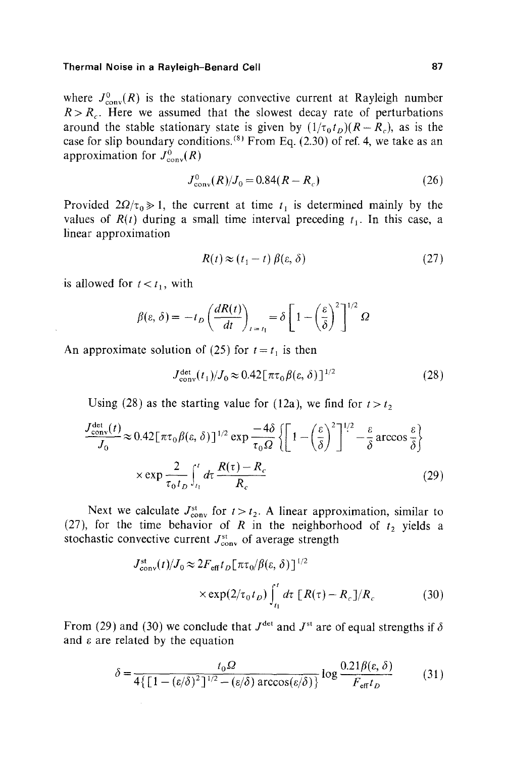#### **Thermal Noise in a Rayleigh-Benard Cell 87 and 87 and 87 and 87 and 87 and 87 and 87 and 87 and 87 and 87 and 87 and 87 and 87 and 87 and 87 and 87 and 87 and 87 and 87 and 87 and 87 and 87 and 87 and 87 and 887 and 887 a**

where  $J_{\text{conv}}^0(R)$  is the stationary convective current at Rayleigh number  $R > R_c$ . Here we assumed that the slowest decay rate of perturbations around the stable stationary state is given by  $(1/\tau_0 t_D)(R-R_c)$ , as is the case for slip boundary conditions.  $^{(8)}$  From Eq. (2.30) of ref. 4, we take as an approximation for  $J^0_{\text{conv}}(R)$ 

$$
J_{\text{conv}}^0(R)/J_0 = 0.84(R - R_c)
$$
 (26)

Provided  $2\Omega/\tau_0 \gg 1$ , the current at time  $t_1$  is determined mainly by the values of  $R(t)$  during a small time interval preceding  $t_1$ . In this case, a linear approximation

$$
R(t) \approx (t_1 - t) \beta(\varepsilon, \delta)
$$
 (27)

is allowed for  $t < t_1$ , with

$$
\beta(\varepsilon,\,\delta) = -t_D \left(\frac{dR(t)}{dt}\right)_{t=t_1} = \delta \left[1 - \left(\frac{\varepsilon}{\delta}\right)^2\right]^{1/2} \Omega
$$

An approximate solution of (25) for  $t = t_1$  is then

$$
J_{\text{conv}}^{\text{det}}(t_1)/J_0 \approx 0.42 \left[\pi \tau_0 \beta(\varepsilon, \delta)\right]^{1/2} \tag{28}
$$

Using (28) as the starting value for (12a), we find for  $t > t_2$ 

$$
\frac{J_{\text{conv}}^{\text{det}}(t)}{J_0} \approx 0.42 \left[ \pi \tau_0 \beta(\varepsilon, \delta) \right]^{1/2} \exp \frac{-4\delta}{\tau_0 \Omega} \left\{ \left[ 1 - \left( \frac{\varepsilon}{\delta} \right)^2 \right]^{1/2} - \frac{\varepsilon}{\delta} \arccos \frac{\varepsilon}{\delta} \right\}
$$

$$
\times \exp \frac{2}{\tau_0 t_D} \int_{t_1}^t dt \frac{R(\tau) - R_c}{R_c} \tag{29}
$$

Next we calculate  $J_{\text{conv}}^{\text{st}}$  for  $t > t_2$ . A linear approximation, similar to (27), for the time behavior of R in the neighborhood of  $t_2$  yields a stochastic convective current  $J_{\text{conv}}^{\text{st}}$  of average strength

$$
J_{\text{conv}}^{\text{st}}(t)/J_0 \approx 2F_{\text{eff}}t_D[\pi\tau_0/\beta(\varepsilon,\delta)]^{1/2}
$$
  
 
$$
\times \exp(2/\tau_0 t_D) \int_{t_1}^t dt \, [R(\tau) - R_c]/R_c \tag{30}
$$

From (29) and (30) we conclude that  $J^{\text{det}}$  and  $J^{\text{st}}$  are of equal strengths if  $\delta$ and  $\varepsilon$  are related by the equation

$$
\delta = \frac{t_0 \Omega}{4 \{ \left[ 1 - (\varepsilon/\delta)^2 \right]^{1/2} - (\varepsilon/\delta) \arccos(\varepsilon/\delta) \}} \log \frac{0.21 \beta(\varepsilon, \delta)}{F_{\text{eff}} t_D} \tag{31}
$$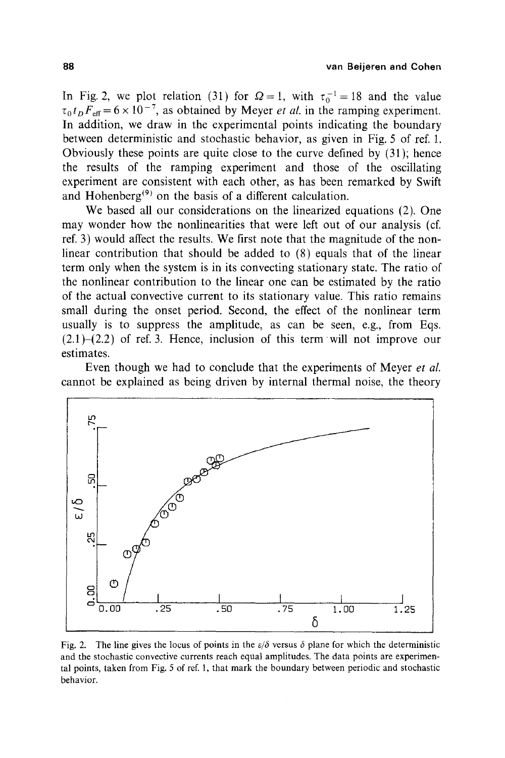In Fig. 2, we plot relation (31) for  $\Omega = 1$ , with  $\tau_0^{-1} = 18$  and the value  $\tau_0 t_p F_{\text{eff}} = 6 \times 10^{-7}$ , as obtained by Meyer *et al.* in the ramping experiment. In addition, we draw in the experimental points indicating the boundary between deterministic and stochastic behavior, as given in Fig. 5 of ref. 1. Obviously these points are quite close to the curve defined by (31); hence the results of the ramping experiment and those of the oscillating experiment are consistent with each other, as has been remarked by Swift and Hohenberg<sup> $(9)$ </sup> on the basis of a different calculation.

We based all our considerations on the linearized equations (2). One may wonder how the nonlinearities that were left out of our analysis (cf. ref. 3) would affect the results. We first note that the magnitude of the nonlinear contribution that should be added to (8) equals that of the linear term only when the system is in its convecting stationary state. The ratio of the nonlinear contribution to the linear one can be estimated by the ratio of the actual convective current to its stationary value. This ratio remains small during the onset period. Second, the effect of the nonlinear term usually is to suppress the amplitude, as can be seen, e.g., from Eqs.  $(2.1)$ - $(2.2)$  of ref. 3. Hence, inclusion of this term will not improve our estimates.

Even though we had to conclude that the experiments of Meyer *et al.*  cannot be explained as being driven by internal thermal noise, the theory



Fig. 2. The line gives the locus of points in the  $\varepsilon/\delta$  versus  $\delta$  plane for which the deterministic and the stochastic convective currents reach equal amplitudes. The data points are experimental points, taken from Fig. 5 of ref. 1, that mark the boundary between periodic and stochastic behavior.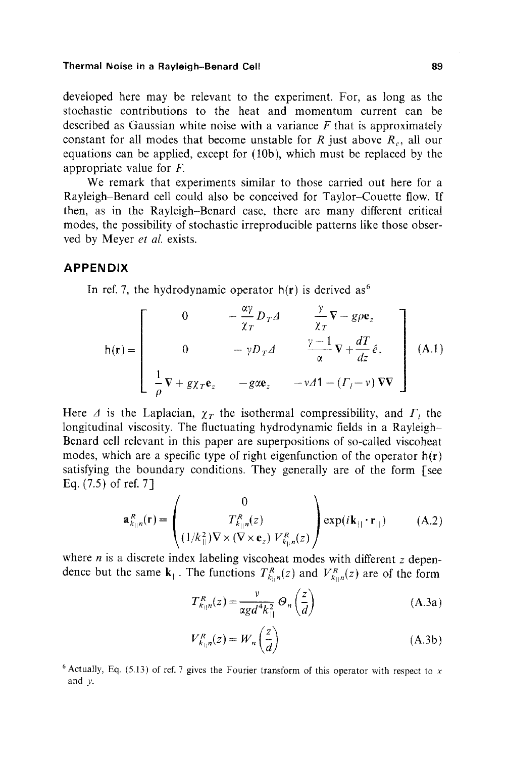#### **Thermal Noise in a Rayleigh-Benard Cell 89 and 89 and 89 and 89 and 89 and 89 and 89 and 89 and 89 and 89 and 89 and 89 and 89 and 89 and 89 and 89 and 89 and 89 and 89 and 80 and 80 and 80 and 80 and 80 and 80 and 80 and**

developed here may be relevant to the experiment. For, as long as the stochastic contributions to the heat and momentum current can be described as Gaussian white noise with a variance  $F$  that is approximately constant for all modes that become unstable for R just above  $R_c$ , all our equations can be applied, except for (10b), which must be replaced by the appropriate value for F.

We remark that experiments similar to those carried out here for a Rayleigh-Benard cell could also be conceived for Taylor-Couette flow. If then, as in the Rayleigh-Benard case, there are many different critical modes, the possibility of stochastic irreproducible patterns like those observed by Meyer *et al.* exists.

#### **APPENDIX**

In ref. 7, the hydrodynamic operator  $h(r)$  is derived as<sup>6</sup>

$$
h(\mathbf{r}) = \begin{bmatrix} 0 & -\frac{\alpha \gamma}{\chi_T} D_T \Delta & \frac{\gamma}{\chi_T} \nabla - g \rho \mathbf{e}_z \\ 0 & -\gamma D_T \Delta & \frac{\gamma - 1}{\alpha} \nabla + \frac{d}{dz} \hat{e}_z \\ \frac{1}{\rho} \nabla + g \chi_T \mathbf{e}_z & -g \alpha \mathbf{e}_z & -\gamma \Delta \mathbf{1} - (F_l - \nu) \nabla \nabla \end{bmatrix} \tag{A.1}
$$

Here  $\Delta$  is the Laplacian,  $\chi_T$  the isothermal compressibility, and  $\Gamma_t$  the longitudinal viscosity. The fluctuating hydrodynamic fields in a Rayleigh-Benard cell relevant in this paper are superpositions of so-called viscoheat modes, which are a specific type of right eigenfunction of the operator  $h(r)$ satisfying the boundary conditions. They generally are of the form [see Eq. (7.5) of ref. 7]

$$
\mathbf{a}_{k_{\parallel n}}^{R}(\mathbf{r}) = \begin{pmatrix} 0 \\ T_{k_{\parallel n}}^{R}(z) \\ (1/k_{\parallel}^{2})\nabla \times (\nabla \times \mathbf{e}_{z}) V_{k_{\parallel n}}^{R}(z) \end{pmatrix} \exp(i\mathbf{k}_{\parallel} \cdot \mathbf{r}_{\parallel})
$$
 (A.2)

where *n* is a discrete index labeling viscoheat modes with different  $z$  dependence but the same  $\mathbf{k}_{||}$ . The functions  $T_{k_{||n}}^R(z)$  and  $V_{k_{||n}}^R(z)$  are of the form

$$
T_{k_{||}n}^{R}(z) = \frac{\nu}{\alpha g d^{4} k_{||}^{2}} \Theta_{n} \left(\frac{z}{d}\right)
$$
 (A.3a)

II

$$
V_{k_{||}n}^{R}(z) = W_n\left(\frac{z}{d}\right)
$$
 (A.3b)

<sup>&</sup>lt;sup>6</sup> Actually, Eq. (5.13) of ref. 7 gives the Fourier transform of this operator with respect to x and y.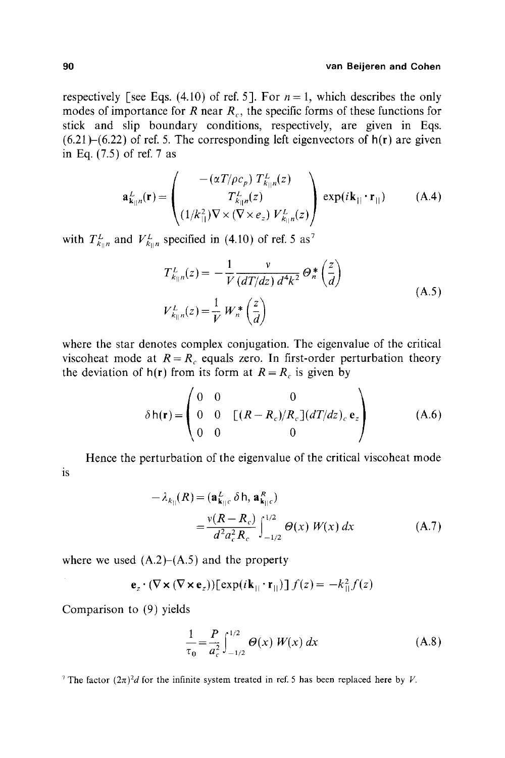#### **90 van Beijeren and Cohen**

respectively [see Eqs. (4.10) of ref. 5]. For  $n = 1$ , which describes the only modes of importance for R near  $R_c$ , the specific forms of these functions for stick and slip boundary conditions, respectively, are given in Eqs.  $(6.21)$ – $(6.22)$  of ref. 5. The corresponding left eigenvectors of  $h(r)$  are given in Eq. (7.5) of ref. 7 as

$$
\mathbf{a}_{\mathbf{k}_{\parallel}n}^{L}(\mathbf{r}) = \begin{pmatrix} -(\alpha T/\rho c_{p}) T_{k_{\parallel}n}^{L}(z) \\ T_{k_{\parallel}n}^{L}(z) \\ (1/k_{\parallel}^{2}) \nabla \times (\nabla \times e_{z}) V_{k_{\parallel}n}^{L}(z) \end{pmatrix} \exp(i\mathbf{k}_{\parallel} \cdot \mathbf{r}_{\parallel})
$$
(A.4)

with  $T_{k_{\parallel}n}^L$  and  $V_{k_{\parallel}n}^L$  specified in (4.10) of ref. 5 as<sup>7</sup>

$$
T_{k_{||}n}^L(z) = -\frac{1}{V} \frac{v}{(dT/dz) d^4k^2} \Theta_n^* \left(\frac{z}{d}\right)
$$
  

$$
V_{k_{||}n}^L(z) = \frac{1}{V} W_n^* \left(\frac{z}{d}\right)
$$
 (A.5)

where the star denotes complex conjugation. The eigenvalue of the critical viscoheat mode at  $R = R_c$  equals zero. In first-order perturbation theory the deviation of  $h(r)$  from its form at  $R = R_c$  is given by

$$
\delta h(\mathbf{r}) = \begin{pmatrix} 0 & 0 & 0 \\ 0 & 0 & [(R - R_c)/R_c](dT/dz)_c \mathbf{e}_z \\ 0 & 0 & 0 \end{pmatrix}
$$
 (A.6)

Hence the perturbation of the eigenvalue of the critical viscoheat mode is

$$
-\lambda_{k_{||}}(R) = (\mathbf{a}_{\mathbf{k}_{||}c}^L \delta \mathbf{h}, \mathbf{a}_{\mathbf{k}_{||}c}^R)
$$
  
= 
$$
\frac{v(R - R_c)}{d^2 a_c^2 R_c} \int_{-1/2}^{1/2} \Theta(x) W(x) dx
$$
 (A.7)

where we used  $(A.2)$ – $(A.5)$  and the property

$$
\mathbf{e}_{z} \cdot (\nabla \times (\nabla \times \mathbf{e}_{z}))[\exp(i\mathbf{k}_{||} \cdot \mathbf{r}_{||})] f(z) = -k_{||}^{2} f(z)
$$

Comparison to (9) yields

$$
\frac{1}{\tau_0} = \frac{P}{a_c^2} \int_{-1/2}^{1/2} \Theta(x) W(x) dx
$$
 (A.8)

<sup>7</sup> The factor  $(2\pi)^2d$  for the infinite system treated in ref. 5 has been replaced here by V.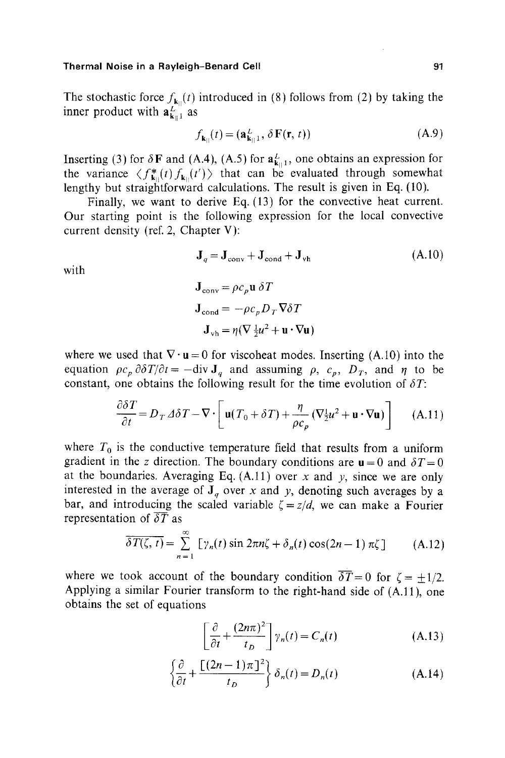The stochastic force  $f_{\mathbf{k}n}(t)$  introduced in (8) follows from (2) by taking the inner product with  $\mathbf{a}_{\mathbf{k}\parallel 1}^L$  as

$$
f_{\mathbf{k}_{||}}(t) = (\mathbf{a}_{\mathbf{k}_{||}1}^{L}, \delta \mathbf{F}(\mathbf{r}, t))
$$
 (A.9)

Inserting (3) for  $\delta$ **F** and (A.4), (A.5) for  $a_{k+1}^L$ , one obtains an expression for the variance  $\langle f_{k}^*(t) f_{k}^*(t') \rangle$  that can be evaluated through somewhat lengthy but straightforward calculations. The result is given in Eq. (10).

Finally, we want to derive Eq. (13) for the convective heat current. Our starting point is the following expression for the local convective current density (ref. 2, Chapter V):

with

$$
\mathbf{J}_{\text{conv}} = \rho c_p \mathbf{u} \, \delta T
$$

$$
\mathbf{J}_{\text{cond}} = -\rho c_n D_T \nabla \delta T
$$

 $\mathbf{J}_q = \mathbf{J}_{\text{conv}} + \mathbf{J}_{\text{cond}} + \mathbf{J}_{\text{vh}}$  (A.10)

$$
\mathbf{J}_{\mathrm{vh}} = \eta (\nabla \frac{1}{2} u^2 + \mathbf{u} \cdot \nabla \mathbf{u})
$$

where we used that  $\nabla \cdot \mathbf{u} = 0$  for viscoheat modes. Inserting (A.10) into the equation  $\rho c_p \frac{\partial \delta T}{\partial t} = -\text{div } \mathbf{J}_q$  and assuming  $\rho$ ,  $c_p$ ,  $D_T$ , and  $\eta$  to be constant, one obtains the following result for the time evolution of  $\delta T$ :

$$
\frac{\partial \delta T}{\partial t} = D_T \Delta \delta T - \nabla \cdot \left[ \mathbf{u} (T_0 + \delta T) + \frac{\eta}{\rho c_p} (\nabla_{\frac{1}{2}}^2 u^2 + \mathbf{u} \cdot \nabla \mathbf{u}) \right] \tag{A.11}
$$

where  $T_0$  is the conductive temperature field that results from a uniform gradient in the z direction. The boundary conditions are  $\mathbf{u} = 0$  and  $\delta T = 0$ at the boundaries. Averaging Eq.  $(A.11)$  over x and y, since we are only interested in the average of  $J_q$  over x and y, denoting such averages by a bar, and introducing the scaled variable  $\zeta = z/d$ , we can make a Fourier representation of  $\overline{\delta T}$  as

$$
\overline{\delta T(\zeta, t)} = \sum_{n=1}^{\infty} \left[ \gamma_n(t) \sin 2\pi n \zeta + \delta_n(t) \cos(2n-1) \pi \zeta \right]
$$
 (A.12)

where we took account of the boundary condition  $\overline{\delta T}= 0$  for  $\zeta = \pm 1/2$ . Applying a similar Fourier transform to the right-hand side of (A.11), one obtains the set of equations

$$
\left[\frac{\partial}{\partial t} + \frac{(2n\pi)^2}{t_D}\right] \gamma_n(t) = C_n(t)
$$
\n(A.13)

$$
\left\{\frac{\partial}{\partial t} + \frac{\left[(2n-1)\pi\right]^2}{t_D}\right\}\delta_n(t) = D_n(t) \tag{A.14}
$$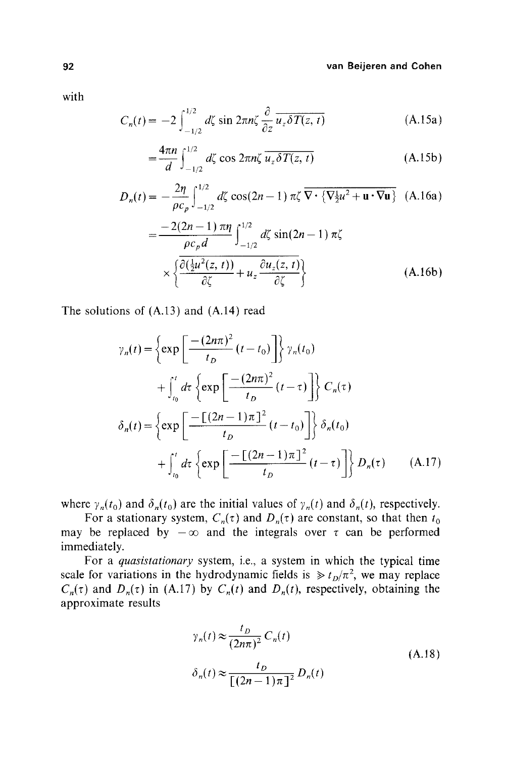#### **92 van Beijeren and Cohen**

with

$$
C_n(t) = -2 \int_{-1/2}^{1/2} d\zeta \sin 2\pi n \zeta \frac{\partial}{\partial z} \overline{u_z \delta T(z, t)}
$$
 (A.15a)

$$
=\frac{4\pi n}{d}\int_{-1/2}^{1/2} d\zeta \cos 2\pi n\zeta \overline{u_z \delta T(z, t)}
$$
 (A.15b)

$$
D_n(t) = -\frac{2\eta}{\rho c_p} \int_{-1/2}^{1/2} d\zeta \cos(2n-1) \pi \zeta \overline{\nabla} \cdot \left\{ \nabla \frac{1}{2} u^2 + \mathbf{u} \cdot \nabla \mathbf{u} \right\} (A.16a)
$$
  

$$
= \frac{-2(2n-1) \pi \eta}{\rho c_p d} \int_{-1/2}^{1/2} d\zeta \sin(2n-1) \pi \zeta
$$
  

$$
\times \left\{ \frac{\partial (\frac{1}{2} u^2(z, t))}{\partial \zeta} + u_z \frac{\partial u_z(z, t)}{\partial \zeta} \right\}
$$
(A.16b)

The solutions of (A.13) and (A.14) read

$$
\gamma_n(t) = \left\{ \exp\left[\frac{-(2n\pi)^2}{t_D}(t - t_0)\right] \right\} \gamma_n(t_0)
$$
  
+ 
$$
\int_{t_0}^t d\tau \left\{ \exp\left[\frac{-(2n\pi)^2}{t_D}(t - \tau)\right] \right\} C_n(\tau)
$$
  

$$
\delta_n(t) = \left\{ \exp\left[\frac{-(2n-1)\pi^2}{t_D}(t - t_0)\right] \right\} \delta_n(t_0)
$$
  
+ 
$$
\int_{t_0}^t d\tau \left\{ \exp\left[\frac{-(2n-1)\pi^2}{t_D}(t - \tau)\right] \right\} D_n(\tau) \qquad (A.17)
$$

where  $\gamma_n(t_0)$  and  $\delta_n(t_0)$  are the initial values of  $\gamma_n(t)$  and  $\delta_n(t)$ , respectively.

For a stationary system,  $C_n(\tau)$  and  $D_n(\tau)$  are constant, so that then  $t_0$ may be replaced by  $-\infty$  and the integrals over  $\tau$  can be performed immediately.

For a *quasistationary* system, i.e., a system in which the typical time scale for variations in the hydrodynamic fields is  $\gg t_D/\pi^2$ , we may replace  $C_n(\tau)$  and  $D_n(\tau)$  in (A.17) by  $C_n(t)$  and  $D_n(t)$ , respectively, obtaining the approximate results

$$
\gamma_n(t) \approx \frac{t_D}{(2n\pi)^2} C_n(t)
$$
  
\n
$$
\delta_n(t) \approx \frac{t_D}{[(2n-1)\pi]^2} D_n(t)
$$
\n(A.18)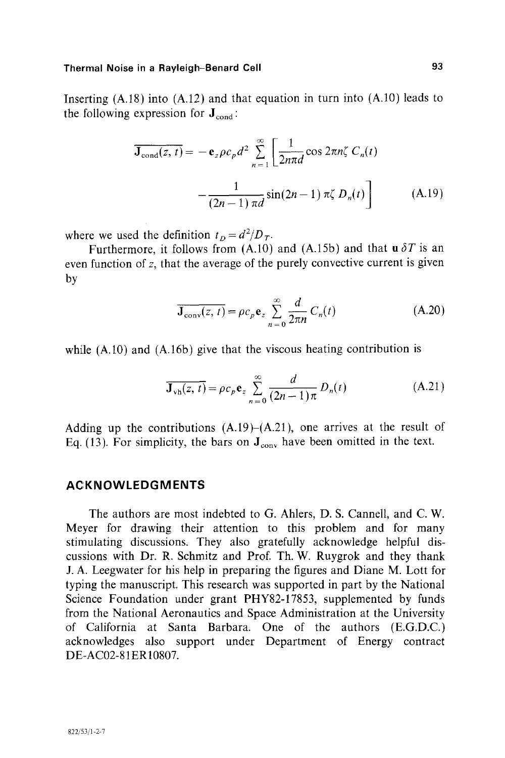Inserting  $(A.18)$  into  $(A.12)$  and that equation in turn into  $(A.10)$  leads to the following expression for  $J_{cond}$ :

$$
\overline{\mathbf{J}_{\text{cond}}(z,t)} = -\mathbf{e}_z \rho c_p d^2 \sum_{n=1}^{\infty} \left[ \frac{1}{2n\pi d} \cos 2\pi n \zeta C_n(t) -\frac{1}{(2n-1)\pi d} \sin(2n-1) \pi \zeta D_n(t) \right]
$$
(A.19)

where we used the definition  $t_D = d^2/D_T$ .

Furthermore, it follows from  $(A.10)$  and  $(A.15b)$  and that  $\mathbf{u} \, \delta T$  is an even function of z, that the average of the purely convective current is given by

$$
\overline{\mathbf{J}_{\text{conv}}(z,t)} = \rho c_p \mathbf{e}_z \sum_{n=0}^{\infty} \frac{d}{2\pi n} C_n(t)
$$
 (A.20)

while (A.10) and (A.16b) give that the viscous heating contribution is

$$
\overline{\mathbf{J}_{\text{vh}}(z,\,t)} = \rho c_p \mathbf{e}_z \sum_{n=0}^{\infty} \frac{d}{(2n-1)\pi} D_n(t) \tag{A.21}
$$

Adding up the contributions  $(A.19)$ – $(A.21)$ , one arrives at the result of Eq. (13). For simplicity, the bars on  $J_{\text{conv}}$  have been omitted in the text.

# **ACKNOWLEDGMENTS**

The authors are most indebted to G. Ahlers, D. S. Cannell, and C. W. Meyer for drawing their attention to this problem and for many stimulating discussions. They also gratefully acknowledge helpful discussions with Dr. R. Schmitz and Prof. Th. W. Ruygrok and they thank J. A. Leegwater for his help in preparing the figures and Diane M. Lott for typing the manuscript. This research was supported in part by the National Science Foundation under grant PHY82-17853, supplemented by funds from the National Aeronautics and Space Administration at the University of California at Santa Barbara. One of the authors (E.G.D.C.) acknowledges also support under Department of Energy contract DE-AC02-81ER10807.